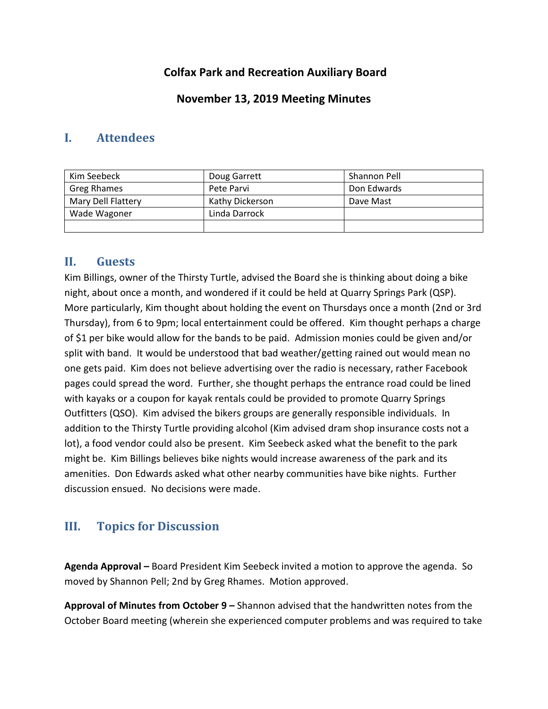# **Colfax Park and Recreation Auxiliary Board**

## **November 13, 2019 Meeting Minutes**

## **I. Attendees**

| Kim Seebeck        | Doug Garrett    | Shannon Pell |
|--------------------|-----------------|--------------|
| Greg Rhames        | Pete Parvi      | Don Edwards  |
| Mary Dell Flattery | Kathy Dickerson | Dave Mast    |
| Wade Wagoner       | Linda Darrock   |              |
|                    |                 |              |

### **II. Guests**

Kim Billings, owner of the Thirsty Turtle, advised the Board she is thinking about doing a bike night, about once a month, and wondered if it could be held at Quarry Springs Park (QSP). More particularly, Kim thought about holding the event on Thursdays once a month (2nd or 3rd Thursday), from 6 to 9pm; local entertainment could be offered. Kim thought perhaps a charge of \$1 per bike would allow for the bands to be paid. Admission monies could be given and/or split with band. It would be understood that bad weather/getting rained out would mean no one gets paid. Kim does not believe advertising over the radio is necessary, rather Facebook pages could spread the word. Further, she thought perhaps the entrance road could be lined with kayaks or a coupon for kayak rentals could be provided to promote Quarry Springs Outfitters (QSO). Kim advised the bikers groups are generally responsible individuals. In addition to the Thirsty Turtle providing alcohol (Kim advised dram shop insurance costs not a lot), a food vendor could also be present. Kim Seebeck asked what the benefit to the park might be. Kim Billings believes bike nights would increase awareness of the park and its amenities. Don Edwards asked what other nearby communities have bike nights. Further discussion ensued. No decisions were made.

# **III. Topics for Discussion**

**Agenda Approval –** Board President Kim Seebeck invited a motion to approve the agenda. So moved by Shannon Pell; 2nd by Greg Rhames. Motion approved.

**Approval of Minutes from October 9 –** Shannon advised that the handwritten notes from the October Board meeting (wherein she experienced computer problems and was required to take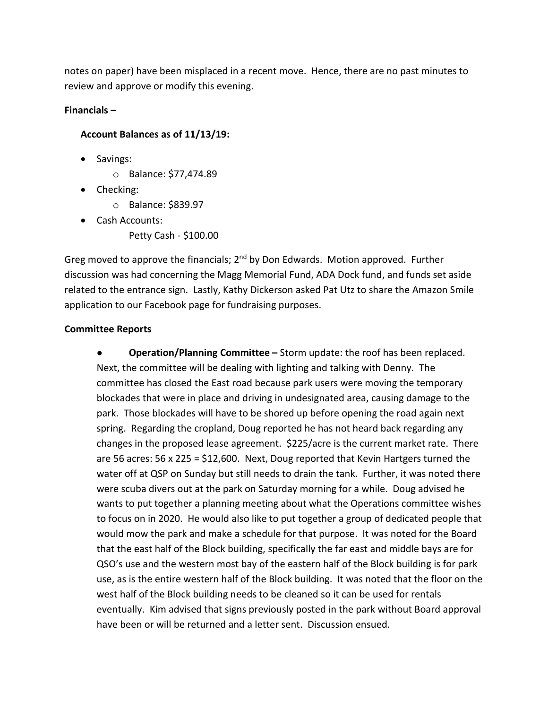notes on paper) have been misplaced in a recent move. Hence, there are no past minutes to review and approve or modify this evening.

#### **Financials –**

#### **Account Balances as of 11/13/19:**

- Savings:
	- o Balance: \$77,474.89
- Checking:
	- o Balance: \$839.97
- Cash Accounts:
	- Petty Cash \$100.00

Greg moved to approve the financials; 2<sup>nd</sup> by Don Edwards. Motion approved. Further discussion was had concerning the Magg Memorial Fund, ADA Dock fund, and funds set aside related to the entrance sign. Lastly, Kathy Dickerson asked Pat Utz to share the Amazon Smile application to our Facebook page for fundraising purposes.

#### **Committee Reports**

● **Operation/Planning Committee –** Storm update: the roof has been replaced. Next, the committee will be dealing with lighting and talking with Denny. The committee has closed the East road because park users were moving the temporary blockades that were in place and driving in undesignated area, causing damage to the park. Those blockades will have to be shored up before opening the road again next spring. Regarding the cropland, Doug reported he has not heard back regarding any changes in the proposed lease agreement. \$225/acre is the current market rate. There are 56 acres: 56 x 225 = \$12,600. Next, Doug reported that Kevin Hartgers turned the water off at QSP on Sunday but still needs to drain the tank. Further, it was noted there were scuba divers out at the park on Saturday morning for a while. Doug advised he wants to put together a planning meeting about what the Operations committee wishes to focus on in 2020. He would also like to put together a group of dedicated people that would mow the park and make a schedule for that purpose. It was noted for the Board that the east half of the Block building, specifically the far east and middle bays are for QSO's use and the western most bay of the eastern half of the Block building is for park use, as is the entire western half of the Block building. It was noted that the floor on the west half of the Block building needs to be cleaned so it can be used for rentals eventually. Kim advised that signs previously posted in the park without Board approval have been or will be returned and a letter sent. Discussion ensued.